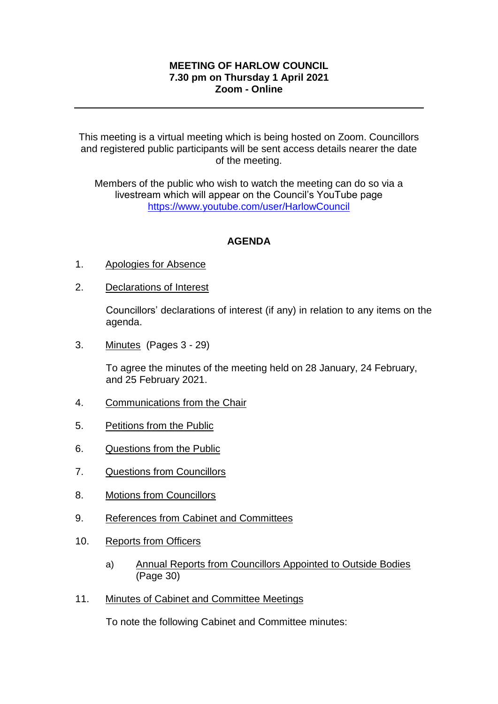## **MEETING OF HARLOW COUNCIL 7.30 pm on Thursday 1 April 2021 Zoom - Online**

This meeting is a virtual meeting which is being hosted on Zoom. Councillors and registered public participants will be sent access details nearer the date of the meeting.

Members of the public who wish to watch the meeting can do so via a livestream which will appear on the Council's YouTube page <https://www.youtube.com/user/HarlowCouncil>

## **AGENDA**

- 1. Apologies for Absence
- 2. Declarations of Interest

Councillors' declarations of interest (if any) in relation to any items on the agenda.

3. Minutes (Pages 3 - 29)

To agree the minutes of the meeting held on 28 January, 24 February, and 25 February 2021.

- 4. Communications from the Chair
- 5. Petitions from the Public
- 6. Questions from the Public
- 7. Questions from Councillors
- 8. Motions from Councillors
- 9. References from Cabinet and Committees
- 10. Reports from Officers
	- a) Annual Reports from Councillors Appointed to Outside Bodies (Page 30)
- 11. Minutes of Cabinet and Committee Meetings

To note the following Cabinet and Committee minutes: